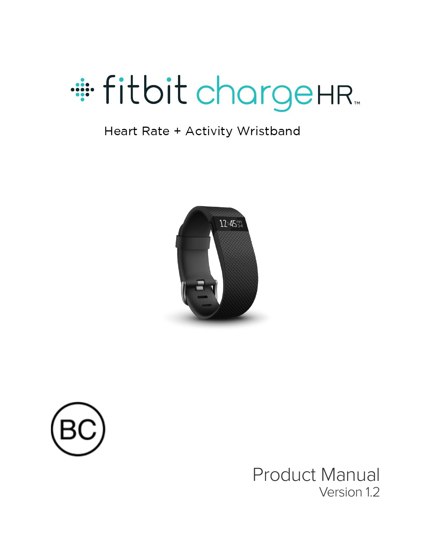

#### Heart Rate + Activity Wristband





Product Manual Version 1.2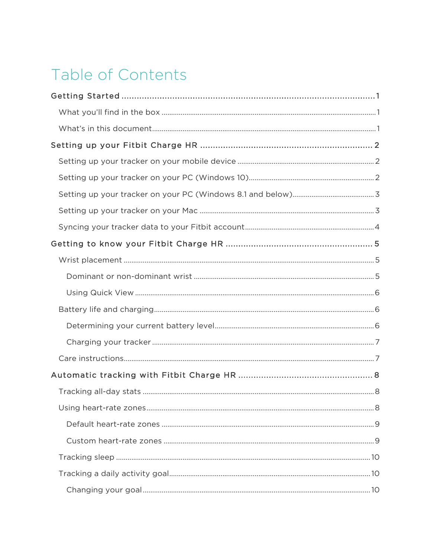# Table of Contents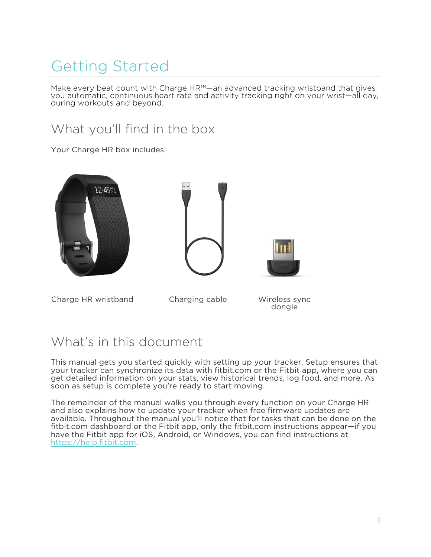# <span id="page-4-0"></span>Getting Started

Make every beat count with Charge HR™—an advanced tracking wristband that gives you automatic, continuous heart rate and activity tracking right on your wrist—all day, during workouts and beyond.

### What you'll find in the box

Your Charge HR box includes:







Charge HR wristband Charging cable Wireless sync

dongle

### What's in this document

This manual gets you started quickly with setting up your tracker. Setup ensures that your tracker can synchronize its data with fitbit.com or the Fitbit app, where you can get detailed information on your stats, view historical trends, log food, and more. As soon as setup is complete you're ready to start moving.

The remainder of the manual walks you through every function on your Charge HR and also explains how to update your tracker when free firmware updates are available. Throughout the manual you'll notice that for tasks that can be done on the fitbit.com dashboard or the Fitbit app, only the fitbit.com instructions appear—if you have the Fitbit app for iOS, Android, or Windows, you can find instructions at https://help.fitbit.com.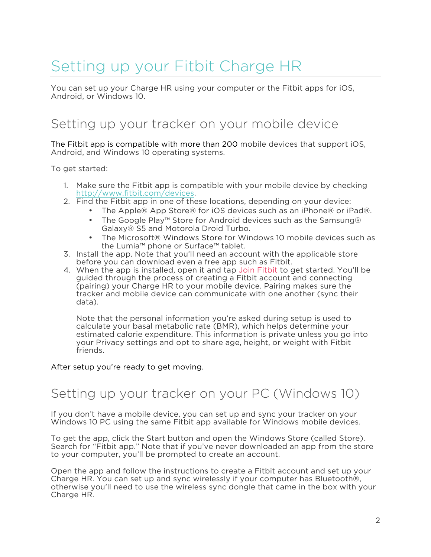# <span id="page-5-0"></span>Setting up your Fitbit Charge HR

You can set up your Charge HR using your computer or the Fitbit apps for iOS, Android, or Windows 10.

#### Setting up your tracker on your mobile device

The Fitbit app is compatible with more than 200 mobile devices that support iOS, Android, and Windows 10 operating systems.

To get started:

- 1. Make sure the Fitbit app is compatible with your mobile device by checking http://www.fitbit.com/devices.
- 2. Find the Fitbit app in one of these locations, depending on your device:
	- The Apple® App Store® for iOS devices such as an iPhone® or iPad®.
	- The Google Play™ Store for Android devices such as the Samsung® Galaxy® S5 and Motorola Droid Turbo.
	- The Microsoft® Windows Store for Windows 10 mobile devices such as the Lumia™ phone or Surface™ tablet.
- 3. Install the app. Note that you'll need an account with the applicable store before you can download even a free app such as Fitbit.
- 4. When the app is installed, open it and tap Join Fitbit to get started. You'll be guided through the process of creating a Fitbit account and connecting (pairing) your Charge HR to your mobile device. Pairing makes sure the tracker and mobile device can communicate with one another (sync their data).

Note that the personal information you're asked during setup is used to calculate your basal metabolic rate (BMR), which helps determine your estimated calorie expenditure. This information is private unless you go into your Privacy settings and opt to share age, height, or weight with Fitbit friends.

#### After setup you're ready to get moving.

#### Setting up your tracker on your PC (Windows 10)

If you don't have a mobile device, you can set up and sync your tracker on your Windows 10 PC using the same Fitbit app available for Windows mobile devices.

To get the app, click the Start button and open the Windows Store (called Store). Search for "Fitbit app." Note that if you've never downloaded an app from the store to your computer, you'll be prompted to create an account.

Open the app and follow the instructions to create a Fitbit account and set up your Charge HR. You can set up and sync wirelessly if your computer has Bluetooth®, otherwise you'll need to use the wireless sync dongle that came in the box with your Charge HR.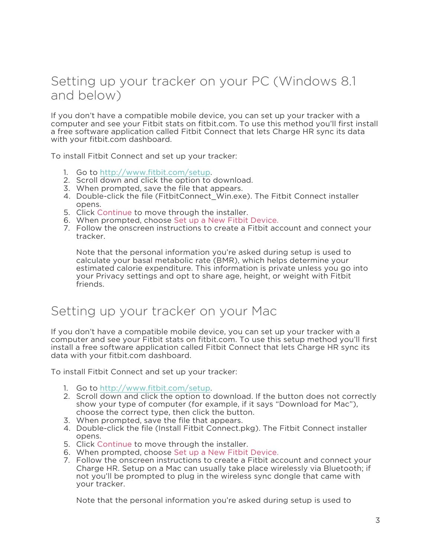#### <span id="page-6-0"></span>Setting up your tracker on your PC (Windows 8.1 and below)

If you don't have a compatible mobile device, you can set up your tracker with a computer and see your Fitbit stats on fitbit.com. To use this method you'll first install a free software application called Fitbit Connect that lets Charge HR sync its data with your fitbit.com dashboard.

To install Fitbit Connect and set up your tracker:

- 1. Go to http://www.fitbit.com/setup.
- 2. Scroll down and click the option to download.
- 3. When prompted, save the file that appears.
- 4. Double-click the file (FitbitConnect\_Win.exe). The Fitbit Connect installer opens.
- 5. Click Continue to move through the installer.
- 6. When prompted, choose Set up a New Fitbit Device.
- 7. Follow the onscreen instructions to create a Fitbit account and connect your tracker.

Note that the personal information you're asked during setup is used to calculate your basal metabolic rate (BMR), which helps determine your estimated calorie expenditure. This information is private unless you go into your Privacy settings and opt to share age, height, or weight with Fitbit friends.

#### Setting up your tracker on your Mac

If you don't have a compatible mobile device, you can set up your tracker with a computer and see your Fitbit stats on fitbit.com. To use this setup method you'll first install a free software application called Fitbit Connect that lets Charge HR sync its data with your fitbit.com dashboard.

To install Fitbit Connect and set up your tracker:

- 1. Go to http://www.fitbit.com/setup.
- 2. Scroll down and click the option to download. If the button does not correctly show your type of computer (for example, if it says "Download for Mac"), choose the correct type, then click the button.
- 3. When prompted, save the file that appears.
- 4. Double-click the file (Install Fitbit Connect.pkg). The Fitbit Connect installer opens.
- 5. Click Continue to move through the installer.
- 6. When prompted, choose Set up a New Fitbit Device.
- 7. Follow the onscreen instructions to create a Fitbit account and connect your Charge HR. Setup on a Mac can usually take place wirelessly via Bluetooth; if not you'll be prompted to plug in the wireless sync dongle that came with your tracker.

Note that the personal information you're asked during setup is used to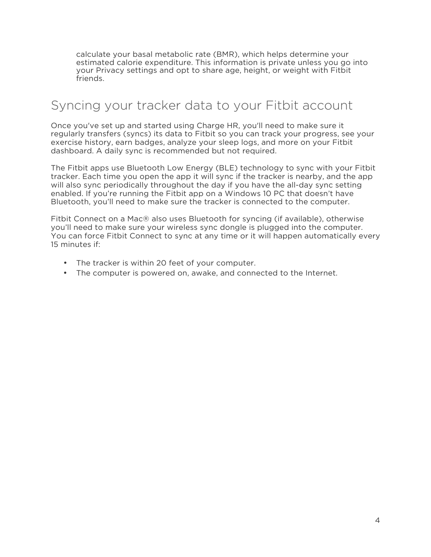<span id="page-7-0"></span>calculate your basal metabolic rate (BMR), which helps determine your estimated calorie expenditure. This information is private unless you go into your Privacy settings and opt to share age, height, or weight with Fitbit friends.

### Syncing your tracker data to your Fitbit account

Once you've set up and started using Charge HR, you'll need to make sure it regularly transfers (syncs) its data to Fitbit so you can track your progress, see your exercise history, earn badges, analyze your sleep logs, and more on your Fitbit dashboard. A daily sync is recommended but not required.

The Fitbit apps use Bluetooth Low Energy (BLE) technology to sync with your Fitbit tracker. Each time you open the app it will sync if the tracker is nearby, and the app will also sync periodically throughout the day if you have the all-day sync setting enabled. If you're running the Fitbit app on a Windows 10 PC that doesn't have Bluetooth, you'll need to make sure the tracker is connected to the computer.

Fitbit Connect on a Mac® also uses Bluetooth for syncing (if available), otherwise you'll need to make sure your wireless sync dongle is plugged into the computer. You can force Fitbit Connect to sync at any time or it will happen automatically every 15 minutes if:

- The tracker is within 20 feet of your computer.
- The computer is powered on, awake, and connected to the Internet.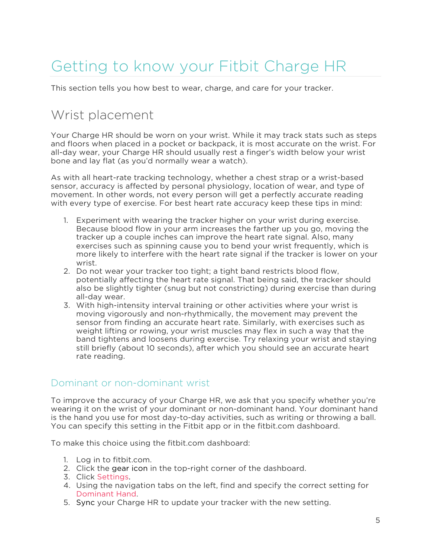# <span id="page-8-0"></span>Getting to know your Fitbit Charge HR

This section tells you how best to wear, charge, and care for your tracker.

### Wrist placement

Your Charge HR should be worn on your wrist. While it may track stats such as steps and floors when placed in a pocket or backpack, it is most accurate on the wrist. For all-day wear, your Charge HR should usually rest a finger's width below your wrist bone and lay flat (as you'd normally wear a watch).

As with all heart-rate tracking technology, whether a chest strap or a wrist-based sensor, accuracy is affected by personal physiology, location of wear, and type of movement. In other words, not every person will get a perfectly accurate reading with every type of exercise. For best heart rate accuracy keep these tips in mind:

- 1. Experiment with wearing the tracker higher on your wrist during exercise. Because blood flow in your arm increases the farther up you go, moving the tracker up a couple inches can improve the heart rate signal. Also, many exercises such as spinning cause you to bend your wrist frequently, which is more likely to interfere with the heart rate signal if the tracker is lower on your wrist.
- 2. Do not wear your tracker too tight; a tight band restricts blood flow, potentially affecting the heart rate signal. That being said, the tracker should also be slightly tighter (snug but not constricting) during exercise than during all-day wear.
- 3. With high-intensity interval training or other activities where your wrist is moving vigorously and non-rhythmically, the movement may prevent the sensor from finding an accurate heart rate. Similarly, with exercises such as weight lifting or rowing, your wrist muscles may flex in such a way that the band tightens and loosens during exercise. Try relaxing your wrist and staying still briefly (about 10 seconds), after which you should see an accurate heart rate reading.

#### Dominant or non-dominant wrist

To improve the accuracy of your Charge HR, we ask that you specify whether you're wearing it on the wrist of your dominant or non-dominant hand. Your dominant hand is the hand you use for most day-to-day activities, such as writing or throwing a ball. You can specify this setting in the Fitbit app or in the fitbit.com dashboard.

To make this choice using the fitbit.com dashboard:

- 1. Log in to fitbit.com.
- 2. Click the gear icon in the top-right corner of the dashboard.
- 3. Click Settings.
- 4. Using the navigation tabs on the left, find and specify the correct setting for Dominant Hand.
- 5. Sync your Charge HR to update your tracker with the new setting.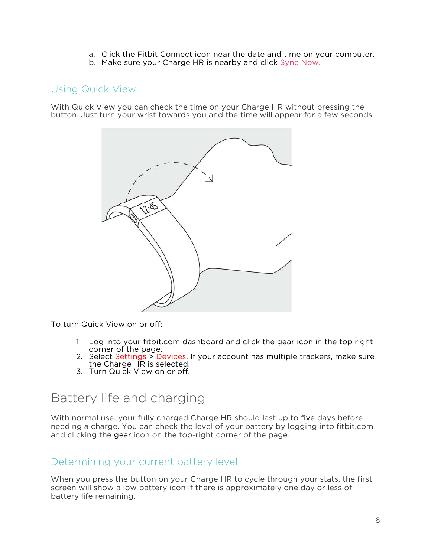- a. Click the Fitbit Connect icon near the date and time on your computer.
- b. Make sure your Charge HR is nearby and click Sync Now.

#### <span id="page-9-0"></span>Using Quick View

With Quick View you can check the time on your Charge HR without pressing the button. Just turn your wrist towards you and the time will appear for a few seconds.



To turn Quick View on or off:

- 1. Log into your fitbit.com dashboard and click the gear icon in the top right
- 2. Select Settings > Devices. If your account has multiple trackers, make sure the Charge HR is selected.
- 3. Turn Quick View on or off.

### Battery life and charging

With normal use, your fully charged Charge HR should last up to five days before needing a charge. You can check the level of your battery by logging into fitbit.com and clicking the gear icon on the top-right corner of the page.

#### Determining your current battery level

When you press the button on your Charge HR to cycle through your stats, the first screen will show a low battery icon if there is approximately one day or less of battery life remaining.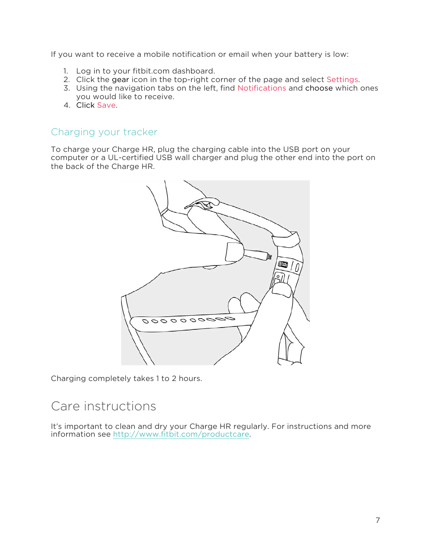<span id="page-10-0"></span>If you want to receive a mobile notification or email when your battery is low:

- 1. Log in to your fitbit.com dashboard.
- 2. Click the gear icon in the top-right corner of the page and select Settings.
- 3. Using the navigation tabs on the left, find Notifications and choose which ones you would like to receive.
- 4. Click Save.

#### Charging your tracker

To charge your Charge HR, plug the charging cable into the USB port on your computer or a UL-certified USB wall charger and plug the other end into the port on the back of the Charge HR.



Charging completely takes 1 to 2 hours.

#### Care instructions

It's important to clean and dry your Charge HR regularly. For instructions and more information see http://www.fitbit.com/productcare.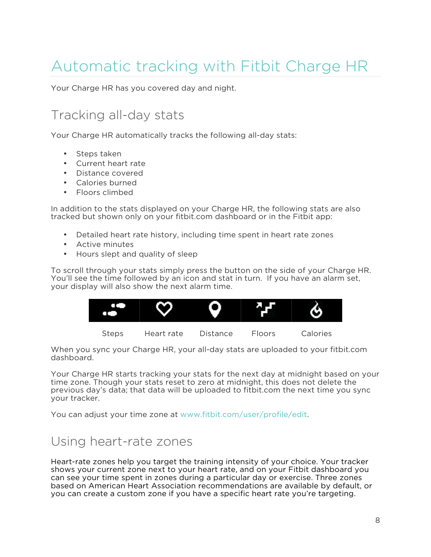# <span id="page-11-0"></span>Automatic tracking with Fitbit Charge HR

Your Charge HR has you covered day and night.

### Tracking all-day stats

Your Charge HR automatically tracks the following all-day stats:

- Steps taken
- Current heart rate
- Distance covered
- Calories burned
- Floors climbed

In addition to the stats displayed on your Charge HR, the following stats are also tracked but shown only on your fitbit.com dashboard or in the Fitbit app:

- Detailed heart rate history, including time spent in heart rate zones
- Active minutes
- Hours slept and quality of sleep

To scroll through your stats simply press the button on the side of your Charge HR. You'll see the time followed by an icon and stat in turn. If you have an alarm set, your display will also show the next alarm time.



When you sync your Charge HR, your all-day stats are uploaded to your fitbit.com dashboard.

Your Charge HR starts tracking your stats for the next day at midnight based on your time zone. Though your stats reset to zero at midnight, this does not delete the previous day's data; that data will be uploaded to fitbit.com the next time you sync your tracker.

You can adjust your time zone at www.fitbit.com/user/profile/edit.

### Using heart-rate zones

Heart-rate zones help you target the training intensity of your choice. Your tracker shows your current zone next to your heart rate, and on your Fitbit dashboard you can see your time spent in zones during a particular day or exercise. Three zones based on American Heart Association recommendations are available by default, or you can create a custom zone if you have a specific heart rate you're targeting.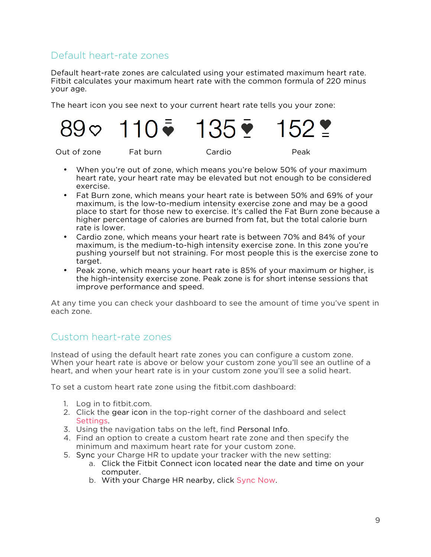#### Default heart-rate zones

Default heart-rate zones are calculated using your estimated maximum heart rate. Fitbit calculates your maximum heart rate with the common formula of 220 minus your age.

The heart icon you see next to your current heart rate tells you your zone:

Out of zone Fat burn Cardio Peak

- When you're out of zone, which means you're below 50% of your maximum heart rate, your heart rate may be elevated but not enough to be considered exercise.
- Fat Burn zone, which means your heart rate is between 50% and 69% of your maximum, is the low-to-medium intensity exercise zone and may be a good place to start for those new to exercise. It's called the Fat Burn zone because a higher percentage of calories are burned from fat, but the total calorie burn rate is lower.
- Cardio zone, which means your heart rate is between 70% and 84% of your maximum, is the medium-to-high intensity exercise zone. In this zone you're pushing yourself but not straining. For most people this is the exercise zone to target.
- Peak zone, which means your heart rate is 85% of your maximum or higher, is the high-intensity exercise zone. Peak zone is for short intense sessions that improve performance and speed.

At any time you can check your dashboard to see the amount of time you've spent in each zone.

#### Custom heart-rate zones

Instead of using the default heart rate zones you can configure a custom zone. When your heart rate is above or below your custom zone you'll see an outline of a heart, and when your heart rate is in your custom zone you'll see a solid heart.

To set a custom heart rate zone using the fitbit.com dashboard:

- 1. Log in to fitbit.com.
- 2. Click the gear icon in the top-right corner of the dashboard and select Settings.
- 3. Using the navigation tabs on the left, find Personal Info.
- 4. Find an option to create a custom heart rate zone and then specify the minimum and maximum heart rate for your custom zone.
- 5. Sync your Charge HR to update your tracker with the new setting:
	- a. Click the Fitbit Connect icon located near the date and time on your computer.
	- b. With your Charge HR nearby, click Sync Now.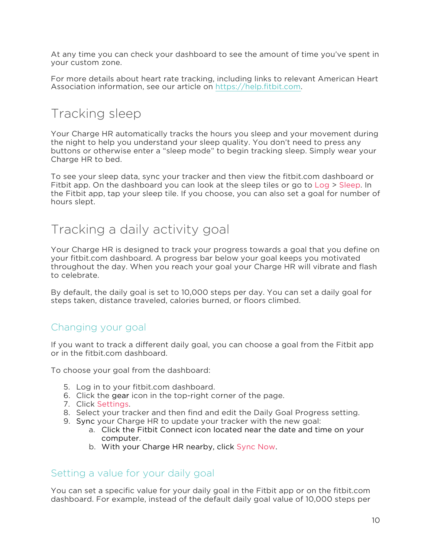<span id="page-13-0"></span>At any time you can check your dashboard to see the amount of time you've spent in your custom zone.

For more details about heart rate tracking, including links to relevant American Heart Association information, see our article on [https://help.fitbit.com.](http://help.fitbit.com/articles/en_US/Help_article/Heart-rate-FAQs)

### Tracking sleep

Your Charge HR automatically tracks the hours you sleep and your movement during the night to help you understand your sleep quality. You don't need to press any buttons or otherwise enter a "sleep mode" to begin tracking sleep. Simply wear your Charge HR to bed.

To see your sleep data, sync your tracker and then view the fitbit.com dashboard or Fitbit app. On the dashboard you can look at the sleep tiles or go to Log > Sleep. In the Fitbit app, tap your sleep tile. If you choose, you can also set a goal for number of hours slept.

#### Tracking a daily activity goal

Your Charge HR is designed to track your progress towards a goal that you define on your fitbit.com dashboard. A progress bar below your goal keeps you motivated throughout the day. When you reach your goal your Charge HR will vibrate and flash to celebrate.

By default, the daily goal is set to 10,000 steps per day. You can set a daily goal for steps taken, distance traveled, calories burned, or floors climbed.

#### Changing your goal

If you want to track a different daily goal, you can choose a goal from the Fitbit app or in the fitbit.com dashboard.

To choose your goal from the dashboard:

- 5. Log in to your fitbit.com dashboard.
- 6. Click the gear icon in the top-right corner of the page.
- 7. Click Settings.
- 8. Select your tracker and then find and edit the Daily Goal Progress setting.
- 9. Sync your Charge HR to update your tracker with the new goal:
	- a. Click the Fitbit Connect icon located near the date and time on your computer.
	- b. With your Charge HR nearby, click Sync Now.

#### Setting a value for your daily goal

You can set a specific value for your daily goal in the Fitbit app or on the fitbit.com dashboard. For example, instead of the default daily goal value of 10,000 steps per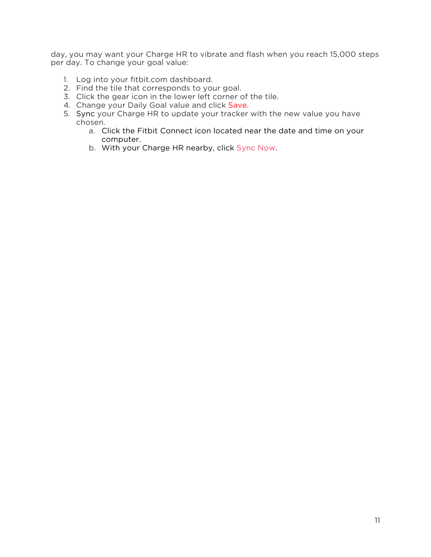day, you may want your Charge HR to vibrate and flash when you reach 15,000 steps per day. To change your goal value:

- 1. Log into your fitbit.com dashboard.
- 2. Find the tile that corresponds to your goal.
- 3. Click the gear icon in the lower left corner of the tile.
- 4. Change your Daily Goal value and click Save.
- 5. Sync your Charge HR to update your tracker with the new value you have chosen.
	- a. Click the Fitbit Connect icon located near the date and time on your computer.
	- b. With your Charge HR nearby, click Sync Now.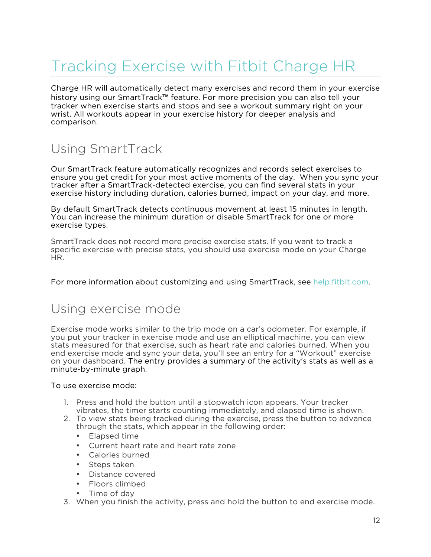# <span id="page-15-0"></span>Tracking Exercise with Fitbit Charge HR

Charge HR will automatically detect many exercises and record them in your exercise history using our SmartTrack™ feature. For more precision you can also tell your tracker when exercise starts and stops and see a workout summary right on your wrist. All workouts appear in your exercise history for deeper analysis and comparison.

### Using SmartTrack

Our SmartTrack feature automatically recognizes and records select exercises to ensure you get credit for your most active moments of the day. When you sync your tracker after a SmartTrack-detected exercise, you can find several stats in your exercise history including duration, calories burned, impact on your day, and more.

By default SmartTrack detects continuous movement at least 15 minutes in length. You can increase the minimum duration or disable SmartTrack for one or more exercise types.

SmartTrack does not record more precise exercise stats. If you want to track a specific exercise with precise stats, you should use exercise mode on your Charge HR.

For more information about customizing and using SmartTrack, see [help.fitbit.com.](http://help.fitbit.com/articles/en_US/Help_article/SmartTrack-FAQs)

#### Using exercise mode

Exercise mode works similar to the trip mode on a car's odometer. For example, if you put your tracker in exercise mode and use an elliptical machine, you can view stats measured for that exercise, such as heart rate and calories burned. When you end exercise mode and sync your data, you'll see an entry for a "Workout" exercise on your dashboard. The entry provides a summary of the activity's stats as well as a minute-by-minute graph.

To use exercise mode:

- 1. Press and hold the button until a stopwatch icon appears. Your tracker vibrates, the timer starts counting immediately, and elapsed time is shown.
- 2. To view stats being tracked during the exercise, press the button to advance through the stats, which appear in the following order:
	- Elapsed time
	- Current heart rate and heart rate zone
	- Calories burned
	- Steps taken
	- Distance covered
	- Floors climbed
	- Time of day
- 3. When you finish the activity, press and hold the button to end exercise mode.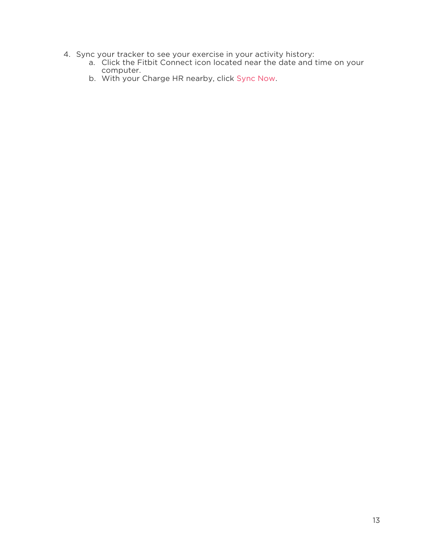- 4. Sync your tracker to see your exercise in your activity history:
	- a. Click the Fitbit Connect icon located near the date and time on your computer.
	- b. With your Charge HR nearby, click Sync Now.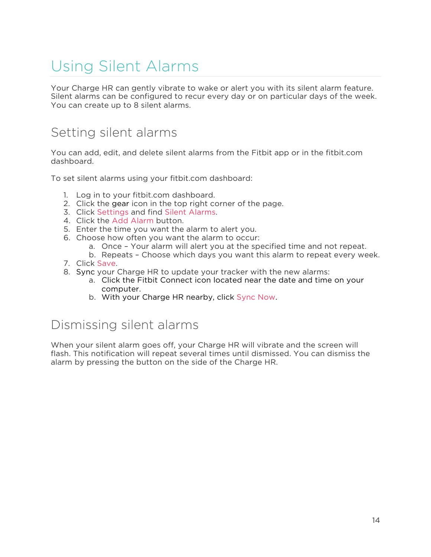# <span id="page-17-0"></span>Using Silent Alarms

Your Charge HR can gently vibrate to wake or alert you with its silent alarm feature. Silent alarms can be configured to recur every day or on particular days of the week. You can create up to 8 silent alarms.

#### Setting silent alarms

You can add, edit, and delete silent alarms from the Fitbit app or in the fitbit.com dashboard.

To set silent alarms using your fitbit.com dashboard:

- 1. Log in to your fitbit.com dashboard.
- 2. Click the gear icon in the top right corner of the page.
- 3. Click Settings and find Silent Alarms.
- 4. Click the Add Alarm button.
- 5. Enter the time you want the alarm to alert you.
- 6. Choose how often you want the alarm to occur:
	- a. Once Your alarm will alert you at the specified time and not repeat.
	- b. Repeats Choose which days you want this alarm to repeat every week.
- 7. Click Save.
- 8. Sync your Charge HR to update your tracker with the new alarms:
	- a. Click the Fitbit Connect icon located near the date and time on your computer.
	- b. With your Charge HR nearby, click Sync Now.

### Dismissing silent alarms

When your silent alarm goes off, your Charge HR will vibrate and the screen will flash. This notification will repeat several times until dismissed. You can dismiss the alarm by pressing the button on the side of the Charge HR.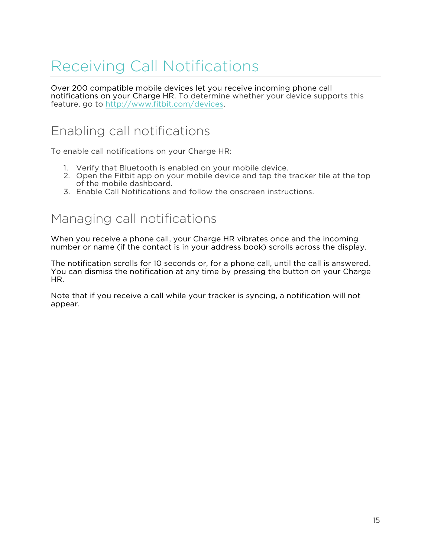# <span id="page-18-0"></span>Receiving Call Notifications

Over 200 compatible mobile devices let you receive incoming phone call notifications on your Charge HR. To determine whether your device supports this feature, go to http://www.fitbit.com/devices.

### Enabling call notifications

To enable call notifications on your Charge HR:

- 1. Verify that Bluetooth is enabled on your mobile device.
- 2. Open the Fitbit app on your mobile device and tap the tracker tile at the top of the mobile dashboard.
- 3. Enable Call Notifications and follow the onscreen instructions.

#### Managing call notifications

When you receive a phone call, your Charge HR vibrates once and the incoming number or name (if the contact is in your address book) scrolls across the display.

The notification scrolls for 10 seconds or, for a phone call, until the call is answered. You can dismiss the notification at any time by pressing the button on your Charge HR.

Note that if you receive a call while your tracker is syncing, a notification will not appear.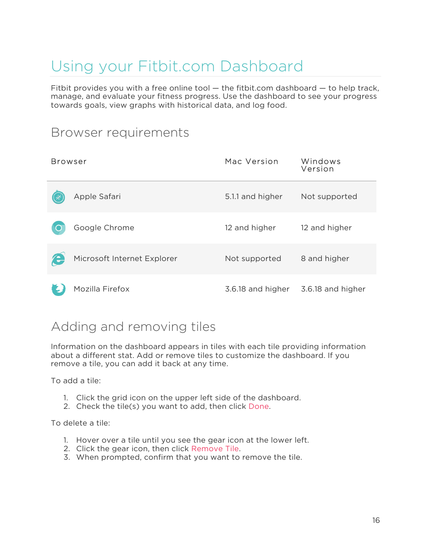# <span id="page-19-0"></span>Using your Fitbit.com Dashboard

Fitbit provides you with a free online tool  $-$  the fitbit.com dashboard  $-$  to help track, manage, and evaluate your fitness progress. Use the dashboard to see your progress towards goals, view graphs with historical data, and log food.

#### Browser requirements

| <b>Browser</b> |                             | Mac Version       | Windows<br>Version |
|----------------|-----------------------------|-------------------|--------------------|
|                | Apple Safari                | 5.1.1 and higher  | Not supported      |
|                | Google Chrome               | 12 and higher     | 12 and higher      |
|                | Microsoft Internet Explorer | Not supported     | 8 and higher       |
|                | Mozilla Firefox             | 3.6.18 and higher | 3.6.18 and higher  |

### Adding and removing tiles

Information on the dashboard appears in tiles with each tile providing information about a different stat. Add or remove tiles to customize the dashboard. If you remove a tile, you can add it back at any time.

To add a tile:

- 1. Click the grid icon on the upper left side of the dashboard.
- 2. Check the tile(s) you want to add, then click Done.

To delete a tile:

- 1. Hover over a tile until you see the gear icon at the lower left.
- 2. Click the gear icon, then click Remove Tile.
- 3. When prompted, confirm that you want to remove the tile.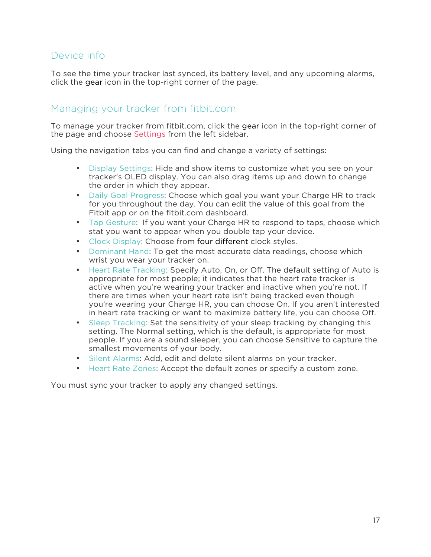#### Device info

To see the time your tracker last synced, its battery level, and any upcoming alarms, click the gear icon in the top-right corner of the page.

#### Managing your tracker from fitbit.com

To manage your tracker from fitbit.com, click the gear icon in the top-right corner of the page and choose Settings from the left sidebar.

Using the navigation tabs you can find and change a variety of settings:

- Display Settings: Hide and show items to customize what you see on your tracker's OLED display. You can also drag items up and down to change the order in which they appear.
- Daily Goal Progress: Choose which goal you want your Charge HR to track for you throughout the day. You can edit the value of this goal from the Fitbit app or on the fitbit.com dashboard.
- Tap Gesture: If you want your Charge HR to respond to taps, choose which stat you want to appear when you double tap your device.
- Clock Display: Choose from four different clock styles.
- Dominant Hand: To get the most accurate data readings, choose which wrist you wear your tracker on.
- Heart Rate Tracking: Specify Auto, On, or Off. The default setting of Auto is appropriate for most people; it indicates that the heart rate tracker is active when you're wearing your tracker and inactive when you're not. If there are times when your heart rate isn't being tracked even though you're wearing your Charge HR, you can choose On. If you aren't interested in heart rate tracking or want to maximize battery life, you can choose Off.
- Sleep Tracking: Set the sensitivity of your sleep tracking by changing this setting. The Normal setting, which is the default, is appropriate for most people. If you are a sound sleeper, you can choose Sensitive to capture the smallest movements of your body.
- Silent Alarms: Add, edit and delete silent alarms on your tracker.
- Heart Rate Zones: Accept the default zones or specify a custom zone.

You must sync your tracker to apply any changed settings.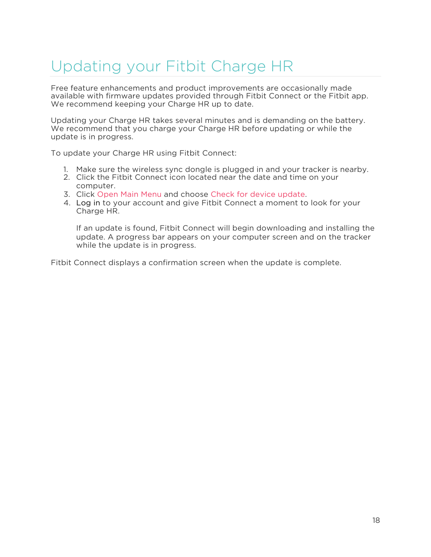# <span id="page-21-0"></span>Updating your Fitbit Charge HR

Free feature enhancements and product improvements are occasionally made available with firmware updates provided through Fitbit Connect or the Fitbit app. We recommend keeping your Charge HR up to date.

Updating your Charge HR takes several minutes and is demanding on the battery. We recommend that you charge your Charge HR before updating or while the update is in progress.

To update your Charge HR using Fitbit Connect:

- 1. Make sure the wireless sync dongle is plugged in and your tracker is nearby.
- 2. Click the Fitbit Connect icon located near the date and time on your computer.
- 3. Click Open Main Menu and choose Check for device update.
- 4. Log in to your account and give Fitbit Connect a moment to look for your Charge HR.

If an update is found, Fitbit Connect will begin downloading and installing the update. A progress bar appears on your computer screen and on the tracker while the update is in progress.

Fitbit Connect displays a confirmation screen when the update is complete.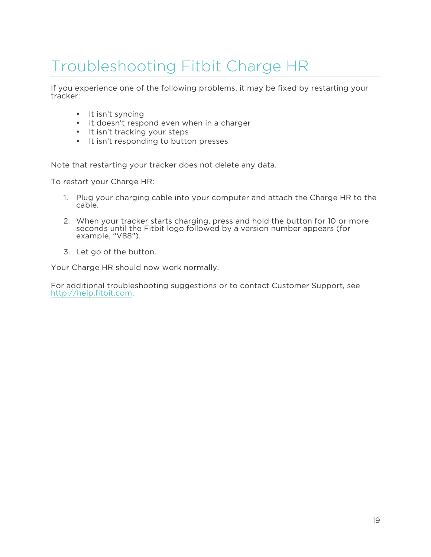# <span id="page-22-0"></span>Troubleshooting Fitbit Charge HR

If you experience one of the following problems, it may be fixed by restarting your tracker:

- It isn't syncing
- It doesn't respond even when in a charger
- It isn't tracking your steps
- It isn't responding to button presses

Note that restarting your tracker does not delete any data.

To restart your Charge HR:

- 1. Plug your charging cable into your computer and attach the Charge HR to the cable.
- 2. When your tracker starts charging, press and hold the button for 10 or more seconds until the Fitbit logo followed by a version number appears (for example, "V88").
- 3. Let go of the button.

Your Charge HR should now work normally.

For additional troubleshooting suggestions or to contact Customer Support, see http://help.fitbit.com.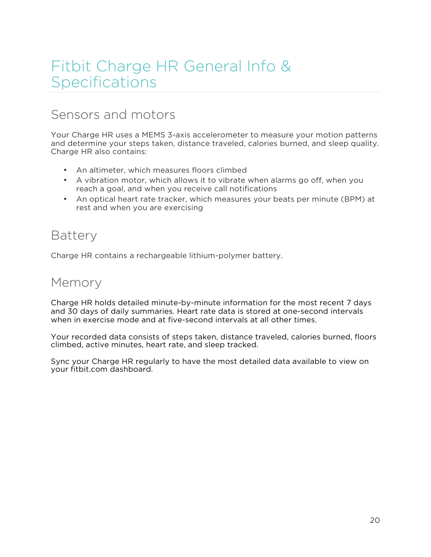# <span id="page-23-0"></span>Fitbit Charge HR General Info & Specifications

#### Sensors and motors

Your Charge HR uses a MEMS 3-axis accelerometer to measure your motion patterns and determine your steps taken, distance traveled, calories burned, and sleep quality. Charge HR also contains:

- An altimeter, which measures floors climbed
- A vibration motor, which allows it to vibrate when alarms go off, when you reach a goal, and when you receive call notifications
- An optical heart rate tracker, which measures your beats per minute (BPM) at rest and when you are exercising

#### **Battery**

Charge HR contains a rechargeable lithium-polymer battery.

#### Memory

Charge HR holds detailed minute-by-minute information for the most recent 7 days and 30 days of daily summaries. Heart rate data is stored at one-second intervals when in exercise mode and at five-second intervals at all other times.

Your recorded data consists of steps taken, distance traveled, calories burned, floors climbed, active minutes, heart rate, and sleep tracked.

Sync your Charge HR regularly to have the most detailed data available to view on your fitbit.com dashboard.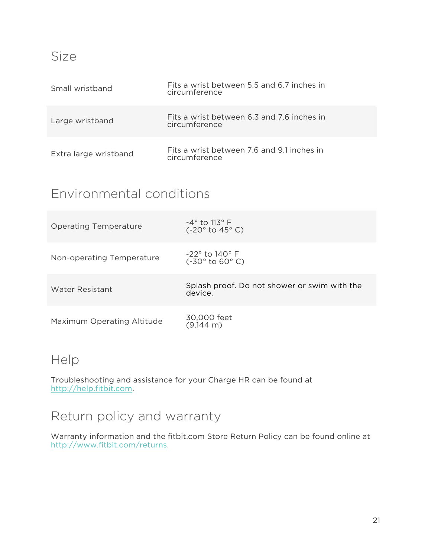<span id="page-24-0"></span>

| Small wristband       | Fits a wrist between 5.5 and 6.7 inches in<br>circumference |
|-----------------------|-------------------------------------------------------------|
| Large wristband       | Fits a wrist between 6.3 and 7.6 inches in<br>circumference |
| Extra large wristband | Fits a wrist between 7.6 and 9.1 inches in<br>circumference |

### Environmental conditions

| <b>Operating Temperature</b> | $-4^{\circ}$ to 113° F<br>$(-20° to 45° C)$             |
|------------------------------|---------------------------------------------------------|
| Non-operating Temperature    | $-22^{\circ}$ to 140° F<br>$(-30° to 60° C)$            |
| Water Resistant              | Splash proof. Do not shower or swim with the<br>device. |
| Maximum Operating Altitude   | 30,000 feet<br>$(9,144 \text{ m})$                      |

### Help

Troubleshooting and assistance for your Charge HR can be found at http://help.fitbit.com.

### Return policy and warranty

Warranty information and the fitbit.com Store Return Policy can be found online at http://www.fitbit.com/returns.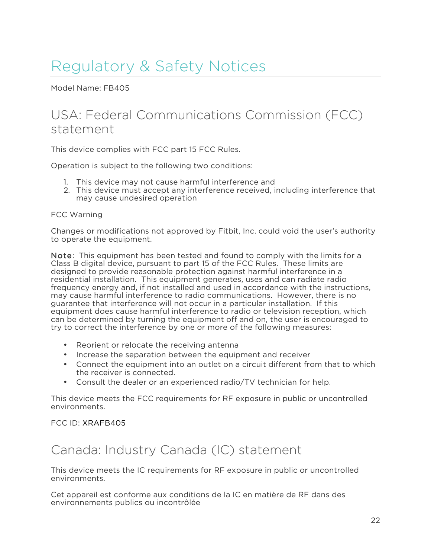# <span id="page-25-0"></span>Regulatory & Safety Notices

Model Name: FB405

#### USA: Federal Communications Commission (FCC) statement

This device complies with FCC part 15 FCC Rules.

Operation is subject to the following two conditions:

- 1. This device may not cause harmful interference and
- 2. This device must accept any interference received, including interference that may cause undesired operation

#### FCC Warning

Changes or modifications not approved by Fitbit, Inc. could void the user's authority to operate the equipment.

Note: This equipment has been tested and found to comply with the limits for a Class B digital device, pursuant to part 15 of the FCC Rules. These limits are designed to provide reasonable protection against harmful interference in a residential installation. This equipment generates, uses and can radiate radio frequency energy and, if not installed and used in accordance with the instructions, may cause harmful interference to radio communications. However, there is no guarantee that interference will not occur in a particular installation. If this equipment does cause harmful interference to radio or television reception, which can be determined by turning the equipment off and on, the user is encouraged to try to correct the interference by one or more of the following measures:

- Reorient or relocate the receiving antenna
- Increase the separation between the equipment and receiver
- Connect the equipment into an outlet on a circuit different from that to which the receiver is connected.
- Consult the dealer or an experienced radio/TV technician for help.

This device meets the FCC requirements for RF exposure in public or uncontrolled environments.

#### FCC ID: XRAFB405

### Canada: Industry Canada (IC) statement

This device meets the IC requirements for RF exposure in public or uncontrolled environments.

Cet appareil est conforme aux conditions de la IC en matière de RF dans des environnements publics ou incontrôlée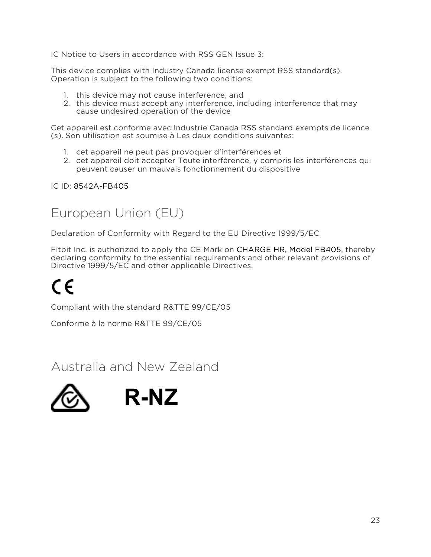<span id="page-26-0"></span>IC Notice to Users in accordance with RSS GEN Issue 3:

This device complies with Industry Canada license exempt RSS standard(s). Operation is subject to the following two conditions:

- 1. this device may not cause interference, and
- 2. this device must accept any interference, including interference that may cause undesired operation of the device

Cet appareil est conforme avec Industrie Canada RSS standard exempts de licence (s). Son utilisation est soumise à Les deux conditions suivantes:

- 1. cet appareil ne peut pas provoquer d'interférences et
- 2. cet appareil doit accepter Toute interférence, y compris les interférences qui peuvent causer un mauvais fonctionnement du dispositive

IC ID: 8542A-FB405

### European Union (EU)

Declaration of Conformity with Regard to the EU Directive 1999/5/EC

Fitbit Inc. is authorized to apply the CE Mark on CHARGE HR, Model FB405, thereby declaring conformity to the essential requirements and other relevant provisions of Directive 1999/5/EC and other applicable Directives.

# $C \in$

Compliant with the standard R&TTE 99/CE/05

Conforme à la norme R&TTE 99/CE/05

Australia and New Zealand

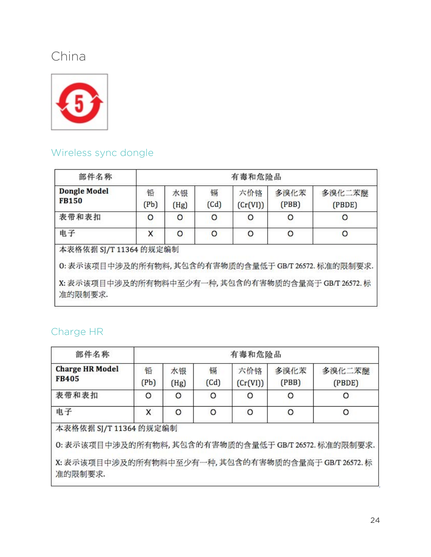# <span id="page-27-0"></span>China



### Wireless sync dongle

| 部件名称                                                 |           | 有毒和危险品     |           |                 |                                                     |                  |
|------------------------------------------------------|-----------|------------|-----------|-----------------|-----------------------------------------------------|------------------|
| <b>Dongle Model</b><br><b>FB150</b>                  | 铅<br>(Pb) | 水银<br>(Hg) | 镉<br>(Cd) | 六价铬<br>(Cr(VI)) | 多溴化苯<br>(PBB)                                       | 多溴化二苯醚<br>(PBDE) |
| 表带和表扣                                                | O         | O          | O         | O               | O                                                   | O                |
| 电子                                                   | Χ         | O          | O         | O               | O                                                   | O                |
| 本表格依据 SJ/T 11364 的规定编制                               |           |            |           |                 |                                                     |                  |
| 0: 表示该项目中涉及的所有物料, 其包含的有害物质的含量低于 GB/T 26572. 标准的限制要求. |           |            |           |                 | X: 表示该项目中涉及的所有物料中至少有一种, 其包含的有害物质的含量高于 GB/T 26572. 标 |                  |

#### Charge HR

| 部件名称                                                                           | 有毒和危险品    |            |           |                 |               |                  |
|--------------------------------------------------------------------------------|-----------|------------|-----------|-----------------|---------------|------------------|
| <b>Charge HR Model</b><br><b>FB405</b>                                         | 铅<br>(Pb) | 水银<br>(Hg) | 镉<br>(Cd) | 六价铬<br>(Cr(VI)) | 多溴化苯<br>(PBB) | 多溴化二苯醚<br>(PBDE) |
| 表带和表扣                                                                          | O         | O          | $\circ$   | O               | O             | O                |
| 电子                                                                             | X         | $\circ$    | $\circ$   | $\circ$         | $\circ$       | O                |
| 本表格依据 SJ/T 11364 的规定编制<br>0: 表示该项目中涉及的所有物料, 其包含的有害物质的含量低于 GB/T 26572. 标准的限制要求. |           |            |           |                 |               |                  |
| X: 表示该项目中涉及的所有物料中至少有一种, 其包含的有害物质的含量高于 GB/T 26572. 标<br>准的限制要求.                 |           |            |           |                 |               |                  |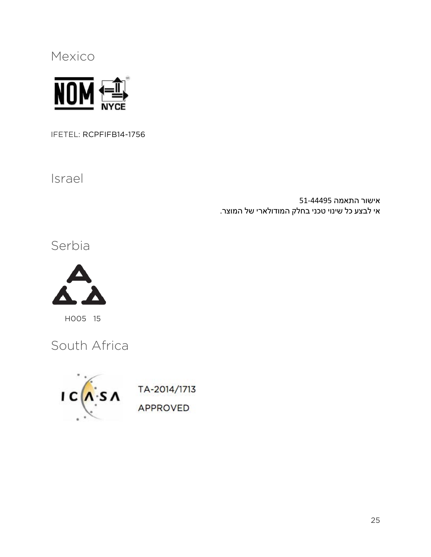<span id="page-28-0"></span>Mexico



IFETEL: RCPFIFB14-1756

Israel

אישור התאמה 51-44495 אי לבצע כל שינוי טכני בחלק המודולארי של המוצר.

Serbia



H005 15

South Africa



APPROVED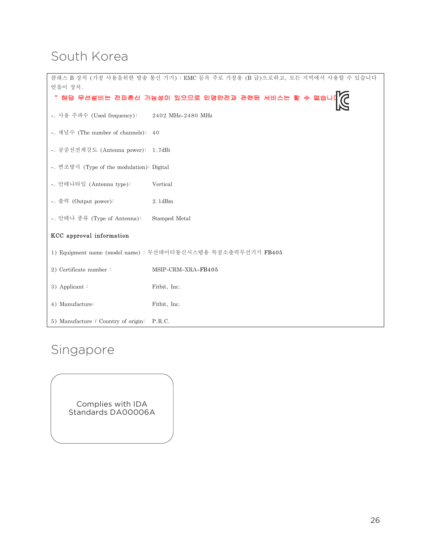### <span id="page-29-0"></span>South Korea

|                                                   | 클래스 B 장치 (가정 사용을위한 방송 통신 기기) : EMC 등록 주로 가정용 (B 급)으로하고, 모든 지역에서 사용할 수 있습니다 |  |  |
|---------------------------------------------------|----------------------------------------------------------------------------|--|--|
| 얻을이 장치.                                           |                                                                            |  |  |
| " 해당 무선설비는 전파혼신 가능성이 있으므로 인명안전과 관련된 서비스는 할 수 없습니! |                                                                            |  |  |
| -. 사용 주파수 (Used frequency): 2402 MHz-2480 MHz     |                                                                            |  |  |
| -. 채널수 (The number of channels): 40               |                                                                            |  |  |
| -. 공중선전계강도 (Antenna power): 1.7dBi                |                                                                            |  |  |
| -. 변조방식 (Type of the modulation): Digital         |                                                                            |  |  |
| -. 안테나타입 (Antenna type):                          | Vertical                                                                   |  |  |
| -. 출력 (Output power):                             | $2.1$ d $Bm$                                                               |  |  |
| -. 안테나 종류 (Type of Antenna):                      | Stamped Metal                                                              |  |  |
| KCC approval information                          |                                                                            |  |  |
|                                                   | 1) Equipment name (model name) : 무선데이터통신시스템용 특정소출력무선기기 FB405               |  |  |
| 2) Certificate number:                            | MSIP-CRM-XRA-FB405                                                         |  |  |
| 3) Applicant:                                     | Fitbit, Inc.                                                               |  |  |
| 4) Manufacture:                                   | Fitbit, Inc.                                                               |  |  |
| 5) Manufacture / Country of origin:               | P.R.C.                                                                     |  |  |

# Singapore

Complies with IDA Standards DA00006A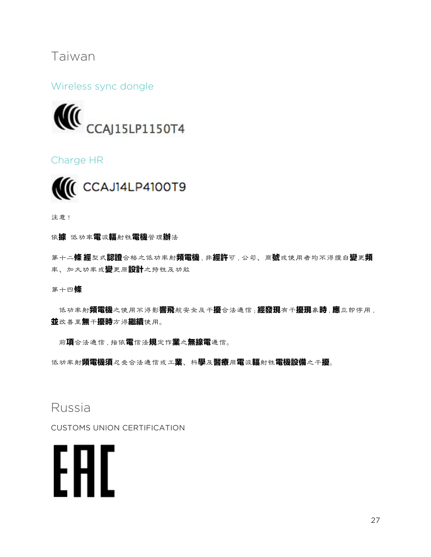#### <span id="page-30-0"></span>Taiwan

Wireless sync dongle



Charge HR



注意!

依據 低功率雷波輻射性雷機管理辦法

第十二**條 經**型式認證合格之低功率射頻電機,非經許可,公司、商號或使用者均不得擅自變更頻 率、加大功率或變更原設計之特性及功能

第十四條

低功率射**頻電機**之使用不得影**響飛**航安全及干擾合法通信;**經發現**有干**擾現象時,應**立即停用, 並改善至無干擾時方得繼續使用。

前頂合法通信, 指依電信法規定作業之無線電通信。

低功率射**頻電機須**忍受合法通信或工**業**、科學及醫療用電波輻射性電機設備之干擾。

#### Russia

CUSTOMS UNION CERTIFICATION

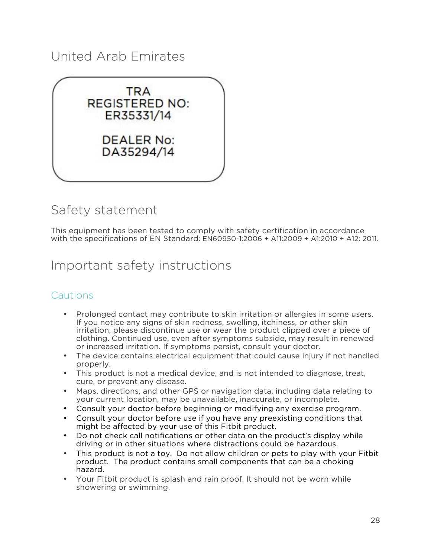### <span id="page-31-0"></span>United Arab Emirates



### Safety statement

This equipment has been tested to comply with safety certification in accordance with the specifications of EN Standard: EN60950-1:2006 + A11:2009 + A1:2010 + A12: 2011.

#### Important safety instructions

#### **Cautions**

- Prolonged contact may contribute to skin irritation or allergies in some users. If you notice any signs of skin redness, swelling, itchiness, or other skin irritation, please discontinue use or wear the product clipped over a piece of clothing. Continued use, even after symptoms subside, may result in renewed or increased irritation. If symptoms persist, consult your doctor.
- The device contains electrical equipment that could cause injury if not handled properly.
- This product is not a medical device, and is not intended to diagnose, treat, cure, or prevent any disease.
- Maps, directions, and other GPS or navigation data, including data relating to your current location, may be unavailable, inaccurate, or incomplete.
- Consult your doctor before beginning or modifying any exercise program.
- Consult your doctor before use if you have any preexisting conditions that might be affected by your use of this Fitbit product.
- Do not check call notifications or other data on the product's display while driving or in other situations where distractions could be hazardous.
- This product is not a toy. Do not allow children or pets to play with your Fitbit product. The product contains small components that can be a choking hazard.
- Your Fitbit product is splash and rain proof. It should not be worn while showering or swimming.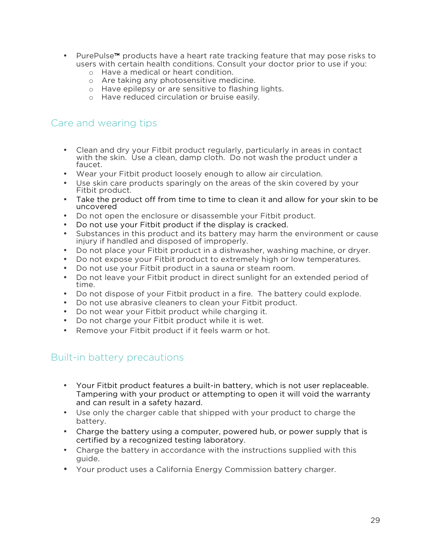- PurePulse™ products have a heart rate tracking feature that may pose risks to users with certain health conditions. Consult your doctor prior to use if you:
	- o Have a medical or heart condition.
	- o Are taking any photosensitive medicine.
	- o Have epilepsy or are sensitive to flashing lights.
	- o Have reduced circulation or bruise easily.

#### Care and wearing tips

- Clean and dry your Fitbit product regularly, particularly in areas in contact with the skin. Use a clean, damp cloth. Do not wash the product under a faucet.
- Wear your Fitbit product loosely enough to allow air circulation.
- Use skin care products sparingly on the areas of the skin covered by your Fitbit product.
- Take the product off from time to time to clean it and allow for your skin to be uncovered
- Do not open the enclosure or disassemble your Fitbit product.
- Do not use your Fitbit product if the display is cracked.
- Substances in this product and its battery may harm the environment or cause injury if handled and disposed of improperly.
- Do not place your Fitbit product in a dishwasher, washing machine, or dryer.
- Do not expose your Fitbit product to extremely high or low temperatures.
- Do not use your Fitbit product in a sauna or steam room.
- Do not leave your Fitbit product in direct sunlight for an extended period of time.
- Do not dispose of your Fitbit product in a fire. The battery could explode.
- Do not use abrasive cleaners to clean your Fitbit product.
- Do not wear your Fitbit product while charging it.
- Do not charge your Fitbit product while it is wet.
- Remove your Fitbit product if it feels warm or hot.

#### Built-in battery precautions

- Your Fitbit product features a built-in battery, which is not user replaceable. Tampering with your product or attempting to open it will void the warranty and can result in a safety hazard.
- Use only the charger cable that shipped with your product to charge the battery.
- Charge the battery using a computer, powered hub, or power supply that is certified by a recognized testing laboratory.
- Charge the battery in accordance with the instructions supplied with this guide.
- Your product uses a California Energy Commission battery charger.